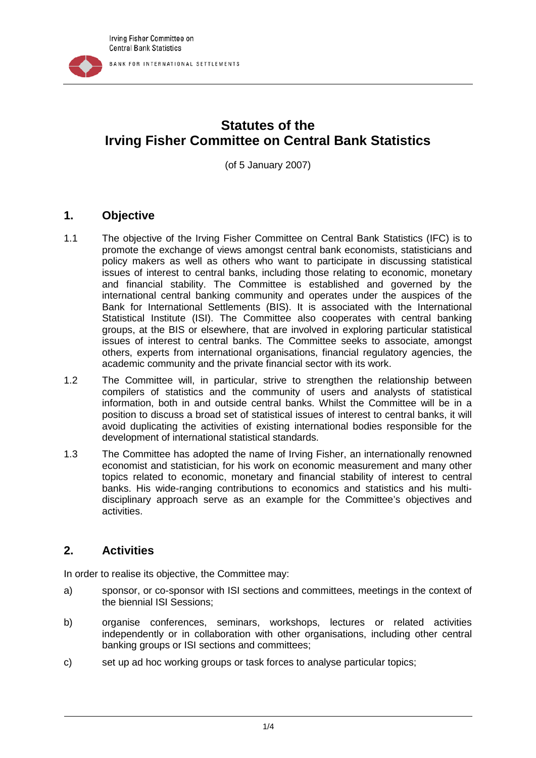

# **Statutes of the Irving Fisher Committee on Central Bank Statistics**

(of 5 January 2007)

#### **1. Objective**

- 1.1 The objective of the Irving Fisher Committee on Central Bank Statistics (IFC) is to promote the exchange of views amongst central bank economists, statisticians and policy makers as well as others who want to participate in discussing statistical issues of interest to central banks, including those relating to economic, monetary and financial stability. The Committee is established and governed by the international central banking community and operates under the auspices of the Bank for International Settlements (BIS). It is associated with the International Statistical Institute (ISI). The Committee also cooperates with central banking groups, at the BIS or elsewhere, that are involved in exploring particular statistical issues of interest to central banks. The Committee seeks to associate, amongst others, experts from international organisations, financial regulatory agencies, the academic community and the private financial sector with its work.
- 1.2 The Committee will, in particular, strive to strengthen the relationship between compilers of statistics and the community of users and analysts of statistical information, both in and outside central banks. Whilst the Committee will be in a position to discuss a broad set of statistical issues of interest to central banks, it will avoid duplicating the activities of existing international bodies responsible for the development of international statistical standards.
- 1.3 The Committee has adopted the name of Irving Fisher, an internationally renowned economist and statistician, for his work on economic measurement and many other topics related to economic, monetary and financial stability of interest to central banks. His wide-ranging contributions to economics and statistics and his multidisciplinary approach serve as an example for the Committee's objectives and activities.

## **2. Activities**

In order to realise its objective, the Committee may:

- a) sponsor, or co-sponsor with ISI sections and committees, meetings in the context of the biennial ISI Sessions;
- b) organise conferences, seminars, workshops, lectures or related activities independently or in collaboration with other organisations, including other central banking groups or ISI sections and committees;
- c) set up ad hoc working groups or task forces to analyse particular topics;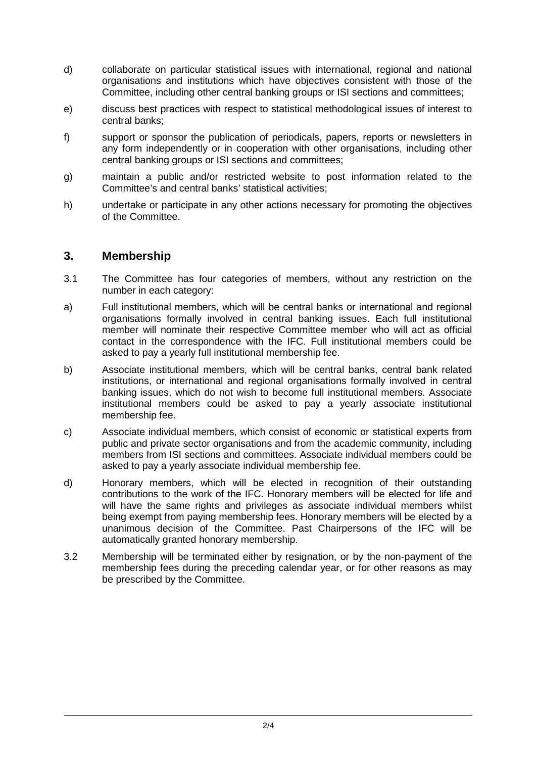- d) collaborate on particular statistical issues with international, regional and national organisations and institutions which have objectives consistent with those of the Committee, including other central banking groups or ISI sections and committees;
- e) discuss best practices with respect to statistical methodological issues of interest to central banks;
- f) support or sponsor the publication of periodicals, papers, reports or newsletters in any form independently or in cooperation with other organisations, including other central banking groups or ISI sections and committees;
- g) maintain a public and/or restricted website to post information related to the Committee's and central banks' statistical activities;
- h) undertake or participate in any other actions necessary for promoting the objectives of the Committee.

#### **3. Membership**

- 3.1 The Committee has four categories of members, without any restriction on the number in each category:
- a) Full institutional members, which will be central banks or international and regional organisations formally involved in central banking issues. Each full institutional member will nominate their respective Committee member who will act as official contact in the correspondence with the IFC. Full institutional members could be asked to pay a yearly full institutional membership fee.
- b) Associate institutional members, which will be central banks, central bank related institutions, or international and regional organisations formally involved in central banking issues, which do not wish to become full institutional members. Associate institutional members could be asked to pay a yearly associate institutional membership fee.
- c) Associate individual members, which consist of economic or statistical experts from public and private sector organisations and from the academic community, including members from ISI sections and committees. Associate individual members could be asked to pay a yearly associate individual membership fee.
- d) Honorary members, which will be elected in recognition of their outstanding contributions to the work of the IFC. Honorary members will be elected for life and will have the same rights and privileges as associate individual members whilst being exempt from paying membership fees. Honorary members will be elected by a unanimous decision of the Committee. Past Chairpersons of the IFC will be automatically granted honorary membership.
- 3.2 Membership will be terminated either by resignation, or by the non-payment of the membership fees during the preceding calendar year, or for other reasons as may be prescribed by the Committee.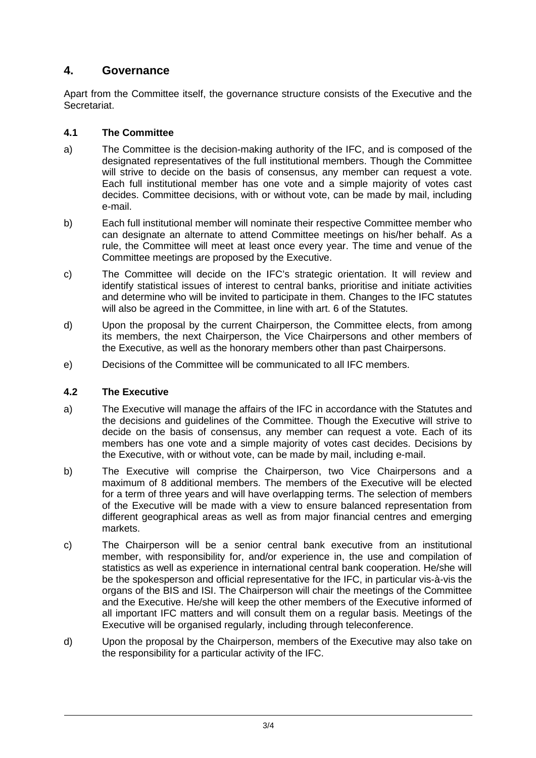# **4. Governance**

Apart from the Committee itself, the governance structure consists of the Executive and the Secretariat.

#### **4.1 The Committee**

- a) The Committee is the decision-making authority of the IFC, and is composed of the designated representatives of the full institutional members. Though the Committee will strive to decide on the basis of consensus, any member can request a vote. Each full institutional member has one vote and a simple majority of votes cast decides. Committee decisions, with or without vote, can be made by mail, including e-mail.
- b) Each full institutional member will nominate their respective Committee member who can designate an alternate to attend Committee meetings on his/her behalf. As a rule, the Committee will meet at least once every year. The time and venue of the Committee meetings are proposed by the Executive.
- c) The Committee will decide on the IFC's strategic orientation. It will review and identify statistical issues of interest to central banks, prioritise and initiate activities and determine who will be invited to participate in them. Changes to the IFC statutes will also be agreed in the Committee, in line with art. 6 of the Statutes.
- d) Upon the proposal by the current Chairperson, the Committee elects, from among its members, the next Chairperson, the Vice Chairpersons and other members of the Executive, as well as the honorary members other than past Chairpersons.
- e) Decisions of the Committee will be communicated to all IFC members.

## **4.2 The Executive**

- a) The Executive will manage the affairs of the IFC in accordance with the Statutes and the decisions and guidelines of the Committee. Though the Executive will strive to decide on the basis of consensus, any member can request a vote. Each of its members has one vote and a simple majority of votes cast decides. Decisions by the Executive, with or without vote, can be made by mail, including e-mail.
- b) The Executive will comprise the Chairperson, two Vice Chairpersons and a maximum of 8 additional members. The members of the Executive will be elected for a term of three years and will have overlapping terms. The selection of members of the Executive will be made with a view to ensure balanced representation from different geographical areas as well as from major financial centres and emerging markets.
- c) The Chairperson will be a senior central bank executive from an institutional member, with responsibility for, and/or experience in, the use and compilation of statistics as well as experience in international central bank cooperation. He/she will be the spokesperson and official representative for the IFC, in particular vis-à-vis the organs of the BIS and ISI. The Chairperson will chair the meetings of the Committee and the Executive. He/she will keep the other members of the Executive informed of all important IFC matters and will consult them on a regular basis. Meetings of the Executive will be organised regularly, including through teleconference.
- d) Upon the proposal by the Chairperson, members of the Executive may also take on the responsibility for a particular activity of the IFC.